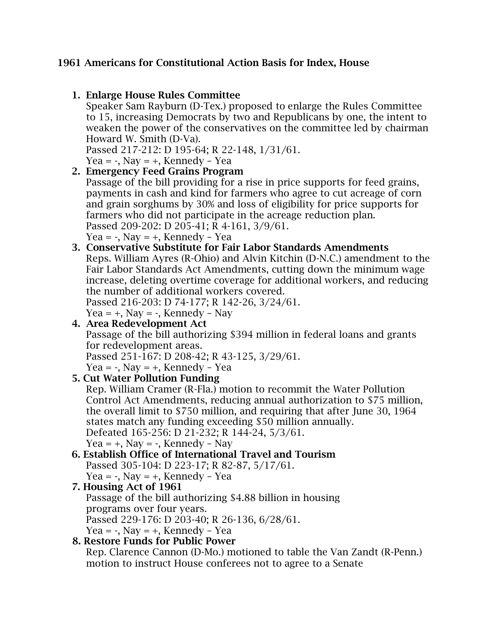#### 1961 Americans for Constitutional Action Basis for Index, House

#### 1. Enlarge House Rules Committee

Speaker Sam Rayburn (D-Tex.) proposed to enlarge the Rules Committee to 15, increasing Democrats by two and Republicans by one, the intent to weaken the power of the conservatives on the committee led by chairman Howard W. Smith (D-Va).

Passed 217-212: D 195-64; R 22-148, 1/31/61.

Yea =  $-$ , Nay =  $+$ , Kennedy – Yea

#### 2. Emergency Feed Grains Program

Passage of the bill providing for a rise in price supports for feed grains, payments in cash and kind for farmers who agree to cut acreage of corn and grain sorghums by 30% and loss of eligibility for price supports for farmers who did not participate in the acreage reduction plan. Passed 209-202: D 205-41; R 4-161, 3/9/61.

Yea =  $-$ , Nay =  $+$ , Kennedy – Yea

#### 3. Conservative Substitute for Fair Labor Standards Amendments

Reps. William Ayres (R-Ohio) and Alvin Kitchin (D-N.C.) amendment to the Fair Labor Standards Act Amendments, cutting down the minimum wage increase, deleting overtime coverage for additional workers, and reducing the number of additional workers covered.

Passed 216-203: D 74-177; R 142-26, 3/24/61.

Yea =  $+$ , Nay =  $-$ , Kennedy – Nay

4. Area Redevelopment Act Passage of the bill authorizing \$394 million in federal loans and grants for redevelopment areas. Passed 251-167: D 208-42; R 43-125, 3/29/61. Yea =  $-$ , Nay =  $+$ , Kennedy - Yea

## 5. Cut Water Pollution Funding

Rep. William Cramer (R-Fla.) motion to recommit the Water Pollution Control Act Amendments, reducing annual authorization to \$75 million, the overall limit to \$750 million, and requiring that after June 30, 1964 states match any funding exceeding \$50 million annually. Defeated 165-256: D 21-232; R 144-24, 5/3/61.

```
Yea = +, Nay = -, Kennedy – Nay
```

```
6. Establish Office of International Travel and Tourism
Passed 305-104: D 223-17; R 82-87, 5/17/61.
Yea = -, Nay = +, Kennedy – Yea
```
## 7. Housing Act of 1961

Passage of the bill authorizing \$4.88 billion in housing programs over four years. Passed 229-176: D 203-40; R 26-136, 6/28/61. Yea =  $-$ , Nay =  $+$ , Kennedy – Yea

# 8. Restore Funds for Public Power

Rep. Clarence Cannon (D-Mo.) motioned to table the Van Zandt (R-Penn.) motion to instruct House conferees not to agree to a Senate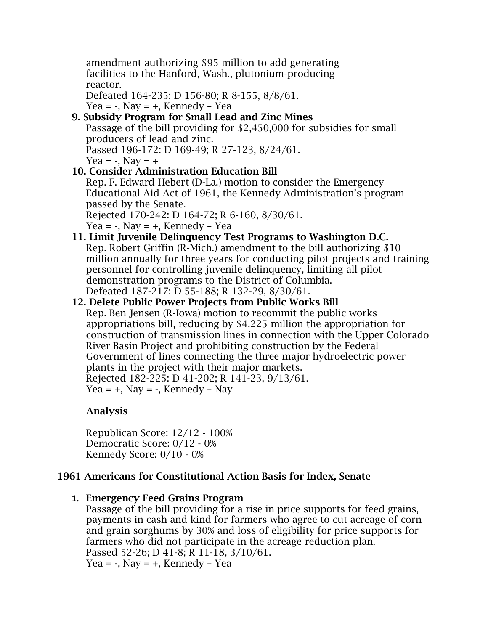amendment authorizing \$95 million to add generating facilities to the Hanford, Wash., plutonium-producing reactor.

Defeated 164-235: D 156-80; R 8-155, 8/8/61.

Yea =  $-$ , Nay =  $+$ , Kennedy – Yea

- 9. Subsidy Program for Small Lead and Zinc Mines Passage of the bill providing for \$2,450,000 for subsidies for small producers of lead and zinc. Passed 196-172: D 169-49; R 27-123, 8/24/61. Yea =  $-$ , Nav =  $+$
- 10. Consider Administration Education Bill Rep. F. Edward Hebert (D-La.) motion to consider the Emergency Educational Aid Act of 1961, the Kennedy Administration's program passed by the Senate.

Rejected 170-242: D 164-72; R 6-160, 8/30/61.

Yea =  $-$ , Nay =  $+$ , Kennedy – Yea

# 11. Limit Juvenile Delinquency Test Programs to Washington D.C.

Rep. Robert Griffin (R-Mich.) amendment to the bill authorizing \$10 million annually for three years for conducting pilot projects and training personnel for controlling juvenile delinquency, limiting all pilot demonstration programs to the District of Columbia. Defeated 187-217: D 55-188; R 132-29, 8/30/61.

# 12. Delete Public Power Projects from Public Works Bill

Rep. Ben Jensen (R-Iowa) motion to recommit the public works appropriations bill, reducing by \$4.225 million the appropriation for construction of transmission lines in connection with the Upper Colorado River Basin Project and prohibiting construction by the Federal Government of lines connecting the three major hydroelectric power plants in the project with their major markets. Rejected 182-225: D 41-202; R 141-23, 9/13/61.

Yea =  $+$ , Nay =  $-$ , Kennedy – Nay

# Analysis

Republican Score: 12/12 - 100% Democratic Score: 0/12 - 0% Kennedy Score: 0/10 - 0%

## 1961 Americans for Constitutional Action Basis for Index, Senate

#### **1.** Emergency Feed Grains Program

Passage of the bill providing for a rise in price supports for feed grains, payments in cash and kind for farmers who agree to cut acreage of corn and grain sorghums by 30% and loss of eligibility for price supports for farmers who did not participate in the acreage reduction plan. Passed 52-26; D 41-8; R 11-18, 3/10/61. Yea =  $-$ , Nay =  $+$ , Kennedy – Yea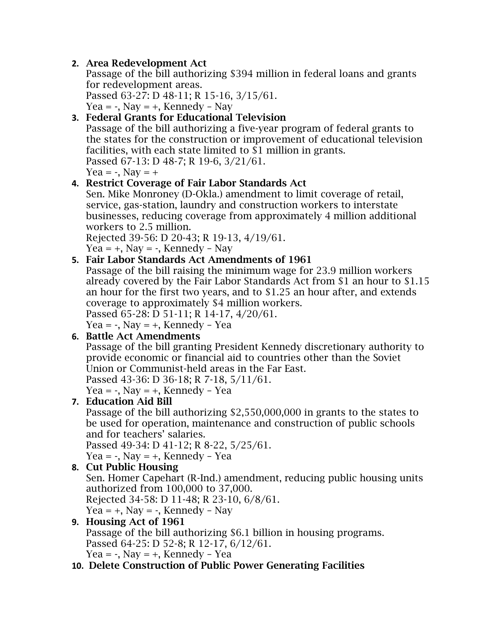# **2.** Area Redevelopment Act

Passage of the bill authorizing \$394 million in federal loans and grants for redevelopment areas.

Passed 63-27: D 48-11; R 15-16, 3/15/61. Yea =  $-$ , Nay =  $+$ , Kennedy – Nay

## **3.** Federal Grants for Educational Television

Passage of the bill authorizing a five-year program of federal grants to the states for the construction or improvement of educational television facilities, with each state limited to \$1 million in grants.

Passed 67-13: D 48-7; R 19-6, 3/21/61.

Yea =  $-$ , Nay =  $+$ 

# **4.** Restrict Coverage of Fair Labor Standards Act

Sen. Mike Monroney (D-Okla.) amendment to limit coverage of retail, service, gas-station, laundry and construction workers to interstate businesses, reducing coverage from approximately 4 million additional workers to 2.5 million.

Rejected 39-56: D 20-43; R 19-13, 4/19/61. Yea =  $+$ , Nay =  $-$ , Kennedy – Nay

## **5.** Fair Labor Standards Act Amendments of 1961

Passage of the bill raising the minimum wage for 23.9 million workers already covered by the Fair Labor Standards Act from \$1 an hour to \$1.15 an hour for the first two years, and to \$1.25 an hour after, and extends coverage to approximately \$4 million workers.

Passed 65-28: D 51-11; R 14-17, 4/20/61.

Yea =  $-$ , Nay =  $+$ , Kennedy – Yea

## **6.** Battle Act Amendments

Passage of the bill granting President Kennedy discretionary authority to provide economic or financial aid to countries other than the Soviet Union or Communist-held areas in the Far East.

Passed 43-36: D 36-18; R 7-18, 5/11/61.

Yea =  $-$ , Nay =  $+$ , Kennedy – Yea

## **7.** Education Aid Bill

Passage of the bill authorizing \$2,550,000,000 in grants to the states to be used for operation, maintenance and construction of public schools and for teachers' salaries.

Passed 49-34: D 41-12; R 8-22, 5/25/61.

Yea =  $-$ , Nay =  $+$ , Kennedy – Yea

# **8.** Cut Public Housing

Sen. Homer Capehart (R-Ind.) amendment, reducing public housing units authorized from 100,000 to 37,000.

Rejected 34-58: D 11-48; R 23-10, 6/8/61.

Yea =  $+$ , Nay =  $-$ , Kennedy – Nay

## **9.** Housing Act of 1961

Passage of the bill authorizing \$6.1 billion in housing programs. Passed 64-25: D 52-8; R 12-17, 6/12/61. Yea =  $-$ , Nay =  $+$ , Kennedy – Yea

## **10.** Delete Construction of Public Power Generating Facilities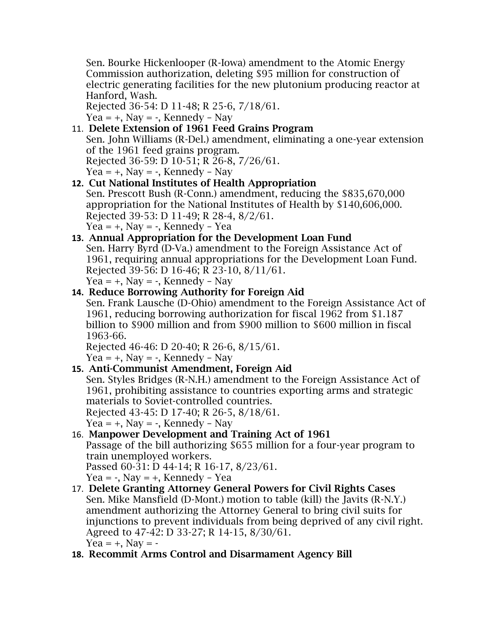Sen. Bourke Hickenlooper (R-Iowa) amendment to the Atomic Energy Commission authorization, deleting \$95 million for construction of electric generating facilities for the new plutonium producing reactor at Hanford, Wash.

Rejected 36-54: D 11-48; R 25-6, 7/18/61. Yea =  $+$ , Nay =  $-$ , Kennedy – Nay

#### 11. Delete Extension of 1961 Feed Grains Program Sen. John Williams (R-Del.) amendment, eliminating a one-year extension of the 1961 feed grains program. Rejected 36-59: D 10-51; R 26-8, 7/26/61. Yea =  $+$ , Nay =  $-$ , Kennedy – Nay

# **12.** Cut National Institutes of Health Appropriation

Sen. Prescott Bush (R-Conn.) amendment, reducing the \$835,670,000 appropriation for the National Institutes of Health by \$140,606,000. Rejected 39-53: D 11-49; R 28-4, 8/2/61. Yea =  $+$ , Nay =  $-$ , Kennedy – Yea

#### **13.** Annual Appropriation for the Development Loan Fund

Sen. Harry Byrd (D-Va.) amendment to the Foreign Assistance Act of 1961, requiring annual appropriations for the Development Loan Fund. Rejected 39-56: D 16-46; R 23-10, 8/11/61.

```
Yea = +, Nay = -, Kennedy – Nay
```
# **14.** Reduce Borrowing Authority for Foreign Aid

Sen. Frank Lausche (D-Ohio) amendment to the Foreign Assistance Act of 1961, reducing borrowing authorization for fiscal 1962 from \$1.187 billion to \$900 million and from \$900 million to \$600 million in fiscal 1963-66.

Rejected 46-46: D 20-40; R 26-6, 8/15/61.

Yea =  $+$ , Nay =  $-$ , Kennedy – Nay

## **15.** Anti-Communist Amendment, Foreign Aid

Sen. Styles Bridges (R-N.H.) amendment to the Foreign Assistance Act of 1961, prohibiting assistance to countries exporting arms and strategic materials to Soviet-controlled countries.

Rejected 43-45: D 17-40; R 26-5, 8/18/61.

Yea =  $+$ , Nay =  $-$ , Kennedy – Nay

## 16. Manpower Development and Training Act of 1961

Passage of the bill authorizing \$655 million for a four-year program to train unemployed workers.

Passed 60-31: D 44-14; R 16-17, 8/23/61.

Yea =  $-$ , Nay =  $+$ , Kennedy – Yea

- 17. Delete Granting Attorney General Powers for Civil Rights Cases Sen. Mike Mansfield (D-Mont.) motion to table (kill) the Javits (R-N.Y.) amendment authorizing the Attorney General to bring civil suits for injunctions to prevent individuals from being deprived of any civil right. Agreed to 47-42: D 33-27; R 14-15, 8/30/61. Yea =  $+$ , Nay =  $-$
- **18.** Recommit Arms Control and Disarmament Agency Bill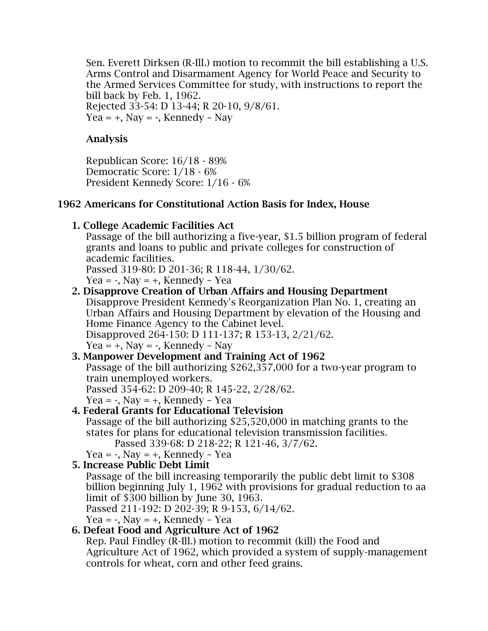Sen. Everett Dirksen (R-Ill.) motion to recommit the bill establishing a U.S. Arms Control and Disarmament Agency for World Peace and Security to the Armed Services Committee for study, with instructions to report the bill back by Feb. 1, 1962. Rejected 33-54: D 13-44; R 20-10, 9/8/61.

Yea =  $+$ , Nay =  $-$ , Kennedy – Nay

#### Analysis

Republican Score: 16/18 - 89% Democratic Score: 1/18 - 6% President Kennedy Score: 1/16 - 6%

#### 1962 Americans for Constitutional Action Basis for Index, House

1. College Academic Facilities Act

Passage of the bill authorizing a five-year, \$1.5 billion program of federal grants and loans to public and private colleges for construction of academic facilities.

Passed 319-80: D 201-36; R 118-44, 1/30/62.

Yea =  $-$ , Nay =  $+$ , Kennedy – Yea

2. Disapprove Creation of Urban Affairs and Housing Department

Disapprove President Kennedy's Reorganization Plan No. 1, creating an Urban Affairs and Housing Department by elevation of the Housing and Home Finance Agency to the Cabinet level.

Disapproved 264-150: D 111-137; R 153-13, 2/21/62.

Yea =  $+$ , Nay =  $-$ , Kennedy – Nay

#### 3. Manpower Development and Training Act of 1962

Passage of the bill authorizing \$262,357,000 for a two-year program to train unemployed workers.

Passed 354-62: D 209-40; R 145-22, 2/28/62.

Yea =  $-$ , Nay =  $+$ , Kennedy – Yea

# 4. Federal Grants for Educational Television

Passage of the bill authorizing \$25,520,000 in matching grants to the states for plans for educational television transmission facilities. Passed 339-68: D 218-22; R 121-46, 3/7/62.

Yea =  $-$ , Nay =  $+$ , Kennedy - Yea

## 5. Increase Public Debt Limit

Passage of the bill increasing temporarily the public debt limit to \$308 billion beginning July 1, 1962 with provisions for gradual reduction to aa limit of \$300 billion by June 30, 1963.

Passed 211-192: D 202-39; R 9-153, 6/14/62.

Yea =  $-$ , Nay =  $+$ , Kennedy – Yea

## 6. Defeat Food and Agriculture Act of 1962

Rep. Paul Findley (R-Ill.) motion to recommit (kill) the Food and Agriculture Act of 1962, which provided a system of supply-management controls for wheat, corn and other feed grains.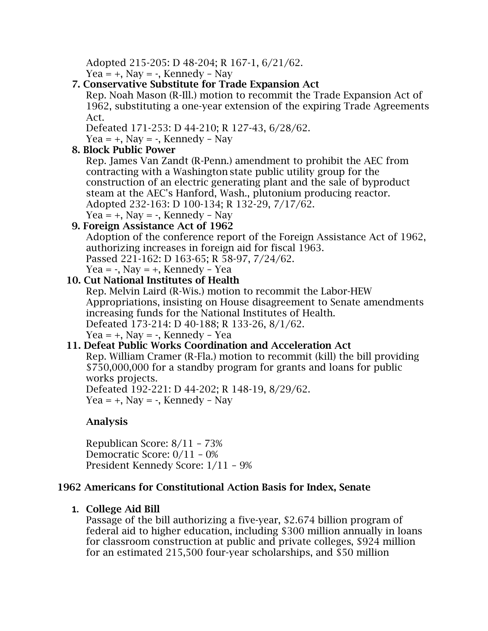Adopted 215-205: D 48-204; R 167-1, 6/21/62.

Yea =  $+$ , Nay =  $-$ , Kennedy – Nay

## 7. Conservative Substitute for Trade Expansion Act

Rep. Noah Mason (R-Ill.) motion to recommit the Trade Expansion Act of 1962, substituting a one-year extension of the expiring Trade Agreements Act.

Defeated 171-253: D 44-210; R 127-43, 6/28/62.

Yea =  $+$ , Nay =  $-$ , Kennedy – Nay

## 8. Block Public Power

Rep. James Van Zandt (R-Penn.) amendment to prohibit the AEC from contracting with a Washington state public utility group for the construction of an electric generating plant and the sale of byproduct steam at the AEC's Hanford, Wash., plutonium producing reactor. Adopted 232-163: D 100-134; R 132-29, 7/17/62. Yea =  $+$ , Nay =  $-$ , Kennedy – Nay

# 9. Foreign Assistance Act of 1962

Adoption of the conference report of the Foreign Assistance Act of 1962, authorizing increases in foreign aid for fiscal 1963.

Passed 221-162: D 163-65; R 58-97, 7/24/62.

Yea =  $-$ , Nay =  $+$ , Kennedy – Yea

#### 10. Cut National Institutes of Health

Rep. Melvin Laird (R-Wis.) motion to recommit the Labor-HEW Appropriations, insisting on House disagreement to Senate amendments increasing funds for the National Institutes of Health. Defeated 173-214: D 40-188; R 133-26, 8/1/62.

Yea =  $+$ , Nay =  $-$ , Kennedy – Yea

#### 11. Defeat Public Works Coordination and Acceleration Act

Rep. William Cramer (R-Fla.) motion to recommit (kill) the bill providing \$750,000,000 for a standby program for grants and loans for public works projects.

Defeated 192-221: D 44-202; R 148-19, 8/29/62. Yea =  $+$ , Nay =  $-$ , Kennedy – Nay

## Analysis

Republican Score: 8/11 – 73% Democratic Score: 0/11 – 0% President Kennedy Score: 1/11 – 9%

#### 1962 Americans for Constitutional Action Basis for Index, Senate

#### **1.** College Aid Bill

Passage of the bill authorizing a five-year, \$2.674 billion program of federal aid to higher education, including \$300 million annually in loans for classroom construction at public and private colleges, \$924 million for an estimated 215,500 four-year scholarships, and \$50 million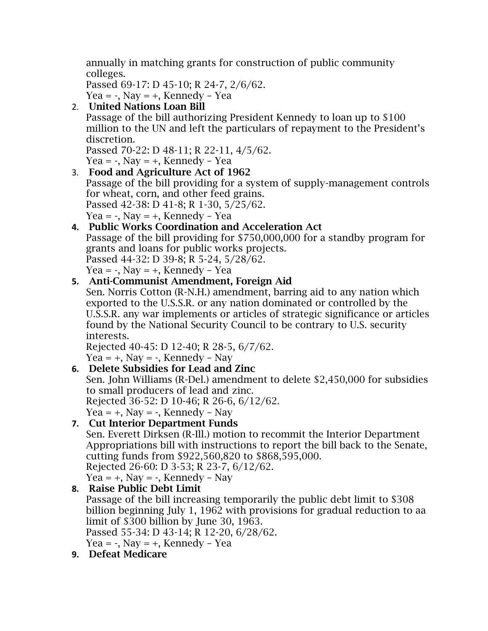annually in matching grants for construction of public community colleges.

```
Passed 69-17: D 45-10; R 24-7, 2/6/62.
```
Yea =  $-$ , Nay =  $+$ , Kennedy – Yea

2. United Nations Loan Bill

Passage of the bill authorizing President Kennedy to loan up to \$100 million to the UN and left the particulars of repayment to the President's discretion.

Passed 70-22: D 48-11; R 22-11, 4/5/62.

Yea =  $-$ , Nay =  $+$ , Kennedy – Yea

3. Food and Agriculture Act of 1962 Passage of the bill providing for a system of supply-management controls for wheat, corn, and other feed grains. Passed 42-38: D 41-8; R 1-30, 5/25/62. Yea =  $-$ , Nav =  $+$ , Kennedy – Yea

## **4.** Public Works Coordination and Acceleration Act

Passage of the bill providing for \$750,000,000 for a standby program for grants and loans for public works projects.

```
Passed 44-32: D 39-8; R 5-24, 5/28/62.
```
Yea =  $-$ , Nay =  $+$ , Kennedy – Yea

## **5.** Anti-Communist Amendment, Foreign Aid

Sen. Norris Cotton (R-N.H.) amendment, barring aid to any nation which exported to the U.S.S.R. or any nation dominated or controlled by the U.S.S.R. any war implements or articles of strategic significance or articles found by the National Security Council to be contrary to U.S. security interests.

Rejected 40-45: D 12-40; R 28-5, 6/7/62.

```
Yea = +, Nay = -, Kennedy – Nay
```
## **6.** Delete Subsidies for Lead and Zinc

Sen. John Williams (R-Del.) amendment to delete \$2,450,000 for subsidies to small producers of lead and zinc.

Rejected 36-52: D 10-46; R 26-6, 6/12/62.

Yea =  $+$ , Nay =  $-$ , Kennedy – Nay

# **7.** Cut Interior Department Funds

Sen. Everett Dirksen (R-Ill.) motion to recommit the Interior Department Appropriations bill with instructions to report the bill back to the Senate, cutting funds from \$922,560,820 to \$868,595,000.

Rejected 26-60: D 3-53; R 23-7, 6/12/62.

Yea =  $+$ , Nay =  $-$ , Kennedy – Nay

## **8.** Raise Public Debt Limit

Passage of the bill increasing temporarily the public debt limit to \$308 billion beginning July 1, 1962 with provisions for gradual reduction to aa limit of \$300 billion by June 30, 1963.

Passed 55-34: D 43-14; R 12-20, 6/28/62.

Yea =  $-$ , Nay =  $+$ , Kennedy – Yea

**9.** Defeat Medicare